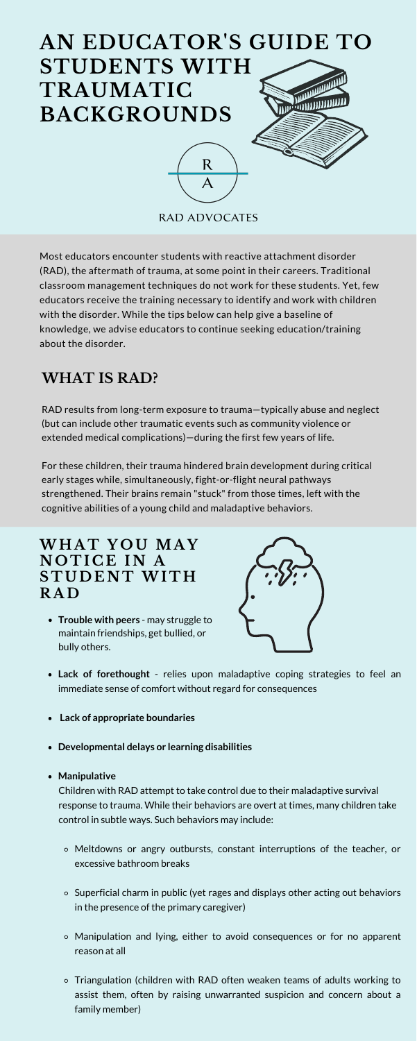### **WH A T Y O U MA Y N O T I C E I N A S T U D E N T WI T H R A D**

RAD results from long-term exposure to trauma—typically abuse and neglect (but can include other traumatic events such as community violence or extended medical complications)—during the first few years of life.

For these children, their trauma hindered brain development during critical early stages while, simultaneously, fight-or-flight neural pathways strengthened. Their brains remain "stuck" from those times, left with the cognitive abilities of a young child and maladaptive behaviors.

Most educators encounter students with reactive attachment disorder (RAD), the aftermath of trauma, at some point in their careers. Traditional classroom management techniques do not work for these students. Yet, few educators receive the training necessary to identify and work with children with the disorder. While the tips below can help give a baseline of knowledge, we advise educators to continue seeking education/training about the disorder.



- **Lack of forethought** relies upon maladaptive coping strategies to feel an immediate sense of comfort without regard for consequences
- **Lack of appropriate boundaries**
- **Developmental delays or learning disabilities**

#### **Manipulative**

- Meltdowns or angry outbursts, constant interruptions of the teacher, or excessive bathroom breaks
- $\circ$  Superficial charm in public (yet rages and displays other acting out behaviors in the presence of the primary caregiver)
- Manipulation and lying, either to avoid consequences or for no apparent reason at all
- Triangulation (children with RAD often weaken teams of adults working to assist them, often by raising unwarranted suspicion and concern about a family member)

Children with RAD attempt to take control due to their maladaptive survival response to trauma. While their behaviors are overt at times, many children take control in subtle ways. Such behaviors may include:

# **WHAT IS RAD?**

**Trouble with peers** - may struggle to maintain friendships, get bullied, or bully others.